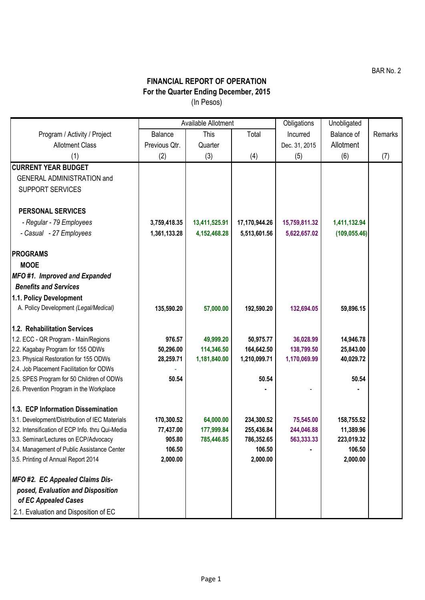## **FINANCIAL REPORT OF OPERATION For the Quarter Ending December, 2015** (In Pesos)

|                                                                                       | Available Allotment |               |                    | Obligations   | Unobligated        |         |
|---------------------------------------------------------------------------------------|---------------------|---------------|--------------------|---------------|--------------------|---------|
| Program / Activity / Project                                                          | Balance             | <b>This</b>   | Total              | Incurred      | Balance of         | Remarks |
| <b>Allotment Class</b>                                                                | Previous Qtr.       | Quarter       |                    | Dec. 31, 2015 | Allotment          |         |
| (1)                                                                                   | (2)                 | (3)           | (4)                | (5)           | (6)                | (7)     |
| <b>CURRENT YEAR BUDGET</b>                                                            |                     |               |                    |               |                    |         |
| <b>GENERAL ADMINISTRATION and</b>                                                     |                     |               |                    |               |                    |         |
| <b>SUPPORT SERVICES</b>                                                               |                     |               |                    |               |                    |         |
| <b>PERSONAL SERVICES</b>                                                              |                     |               |                    |               |                    |         |
| - Regular - 79 Employees                                                              | 3,759,418.35        | 13,411,525.91 | 17,170,944.26      | 15,759,811.32 | 1,411,132.94       |         |
| - Casual - 27 Employees                                                               | 1,361,133.28        | 4,152,468.28  | 5,513,601.56       | 5,622,657.02  | (109, 055.46)      |         |
| <b>PROGRAMS</b>                                                                       |                     |               |                    |               |                    |         |
| <b>MOOE</b>                                                                           |                     |               |                    |               |                    |         |
| MFO#1. Improved and Expanded                                                          |                     |               |                    |               |                    |         |
| <b>Benefits and Services</b>                                                          |                     |               |                    |               |                    |         |
| 1.1. Policy Development                                                               |                     |               |                    |               |                    |         |
| A. Policy Development (Legal/Medical)                                                 | 135,590.20          | 57,000.00     | 192,590.20         | 132,694.05    | 59,896.15          |         |
| 1.2. Rehabilitation Services                                                          |                     |               |                    |               |                    |         |
| 1.2. ECC - QR Program - Main/Regions                                                  | 976.57              | 49,999.20     | 50,975.77          | 36,028.99     | 14,946.78          |         |
| 2.2. Kagabay Program for 155 ODWs                                                     | 50,296.00           | 114,346.50    | 164,642.50         | 138,799.50    | 25,843.00          |         |
| 2.3. Physical Restoration for 155 ODWs                                                | 28,259.71           | 1,181,840.00  | 1,210,099.71       | 1,170,069.99  | 40,029.72          |         |
| 2.4. Job Placement Facilitation for ODWs                                              |                     |               |                    |               |                    |         |
| 2.5. SPES Program for 50 Children of ODWs<br>2.6. Prevention Program in the Workplace | 50.54               |               | 50.54              |               | 50.54              |         |
|                                                                                       |                     |               |                    |               |                    |         |
| 1.3. ECP Information Dissemination                                                    |                     |               |                    |               |                    |         |
| 3.1. Development/Distribution of IEC Materials                                        | 170,300.52          | 64,000.00     | 234,300.52         | 75,545.00     | 158,755.52         |         |
| 3.2. Intensification of ECP Info. thru Qui-Media                                      | 77,437.00           | 177,999.84    | 255,436.84         | 244,046.88    | 11,389.96          |         |
| 3.3. Seminar/Lectures on ECP/Advocacy                                                 | 905.80<br>106.50    | 785,446.85    | 786,352.65         | 563,333.33    | 223,019.32         |         |
| 3.4. Management of Public Assistance Center                                           | 2,000.00            |               | 106.50<br>2,000.00 |               | 106.50<br>2,000.00 |         |
| 3.5. Printing of Annual Report 2014                                                   |                     |               |                    |               |                    |         |
| MFO #2. EC Appealed Claims Dis-                                                       |                     |               |                    |               |                    |         |
| posed, Evaluation and Disposition<br>of EC Appealed Cases                             |                     |               |                    |               |                    |         |
| 2.1. Evaluation and Disposition of EC                                                 |                     |               |                    |               |                    |         |